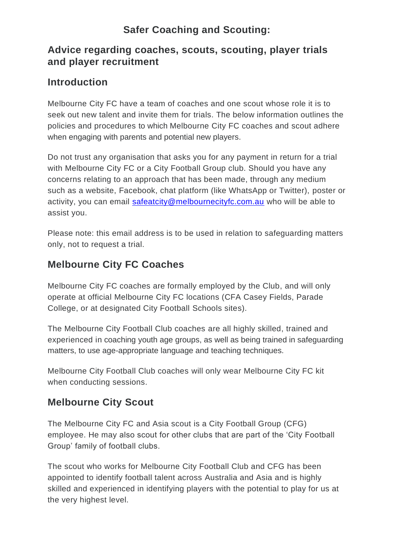# **Safer Coaching and Scouting:**

#### **Advice regarding coaches, scouts, scouting, player trials and player recruitment**

#### **Introduction**

Melbourne City FC have a team of coaches and one scout whose role it is to seek out new talent and invite them for trials. The below information outlines the policies and procedures to which Melbourne City FC coaches and scout adhere when engaging with parents and potential new players.

Do not trust any organisation that asks you for any payment in return for a trial with Melbourne City FC or a City Football Group club. Should you have any concerns relating to an approach that has been made, through any medium such as a website, Facebook, chat platform (like WhatsApp or Twitter), poster or activity, you can email [safeatcity@melbournecityfc.com.au](mailto:safeatcity@melbournecityfc.com.au) who will be able to assist you.

Please note: this email address is to be used in relation to safeguarding matters only, not to request a trial.

## **Melbourne City FC Coaches**

Melbourne City FC coaches are formally employed by the Club, and will only operate at official Melbourne City FC locations (CFA Casey Fields, Parade College, or at designated City Football Schools sites).

The Melbourne City Football Club coaches are all highly skilled, trained and experienced in coaching youth age groups, as well as being trained in safeguarding matters, to use age-appropriate language and teaching techniques.

Melbourne City Football Club coaches will only wear Melbourne City FC kit when conducting sessions.

## **Melbourne City Scout**

The Melbourne City FC and Asia scout is a City Football Group (CFG) employee. He may also scout for other clubs that are part of the 'City Football Group' family of football clubs.

The scout who works for Melbourne City Football Club and CFG has been appointed to identify football talent across Australia and Asia and is highly skilled and experienced in identifying players with the potential to play for us at the very highest level.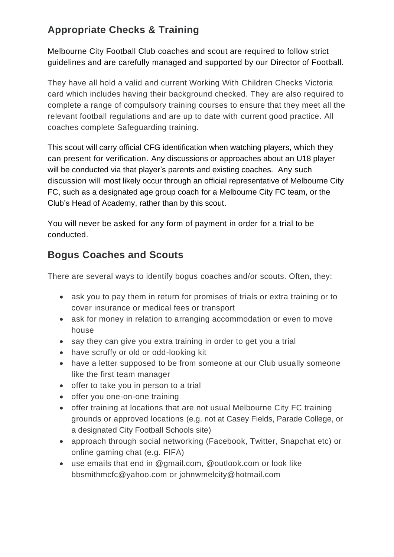# **Appropriate Checks & Training**

Melbourne City Football Club coaches and scout are required to follow strict guidelines and are carefully managed and supported by our Director of Football.

They have all hold a valid and current Working With Children Checks Victoria card which includes having their background checked. They are also required to complete a range of compulsory training courses to ensure that they meet all the relevant football regulations and are up to date with current good practice. All coaches complete Safeguarding training.

This scout will carry official CFG identification when watching players, which they can present for verification. Any discussions or approaches about an U18 player will be conducted via that player's parents and existing coaches. Any such discussion will most likely occur through an official representative of Melbourne City FC, such as a designated age group coach for a Melbourne City FC team, or the Club's Head of Academy, rather than by this scout.

You will never be asked for any form of payment in order for a trial to be conducted.

## **Bogus Coaches and Scouts**

There are several ways to identify bogus coaches and/or scouts. Often, they:

- ask you to pay them in return for promises of trials or extra training or to cover insurance or medical fees or transport
- ask for money in relation to arranging accommodation or even to move house
- say they can give you extra training in order to get you a trial
- have scruffy or old or odd-looking kit
- have a letter supposed to be from someone at our Club usually someone like the first team manager
- offer to take you in person to a trial
- offer you one-on-one training
- offer training at locations that are not usual Melbourne City FC training grounds or approved locations (e.g. not at Casey Fields, Parade College, or a designated City Football Schools site)
- approach through social networking (Facebook, Twitter, Snapchat etc) or online gaming chat (e.g. FIFA)
- use emails that end in @gmail.com, @outlook.com or look like bbsmithmcfc@yahoo.com or johnwmelcity@hotmail.com